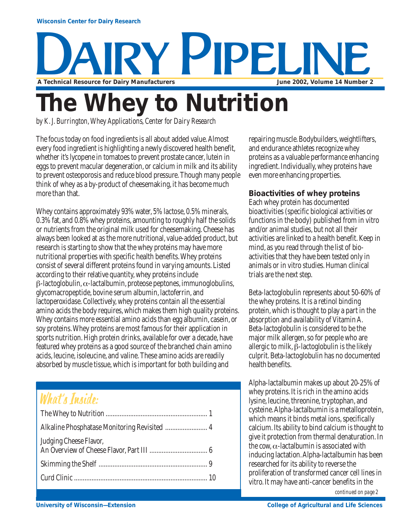

# **The Whey to Nutrition**

*by K. J. Burrington, Whey Applications, Center for Dairy Research*

The focus today on food ingredients is all about added value. Almost every food ingredient is highlighting a newly discovered health benefit, whether it's lycopene in tomatoes to prevent prostate cancer, lutein in eggs to prevent macular degeneration, or calcium in milk and its ability to prevent osteoporosis and reduce blood pressure. Though many people think of whey as a by-product of cheesemaking, it has become much more than that.

Whey contains approximately 93% water, 5% lactose, 0.5% minerals, 0.3% fat, and 0.8% whey proteins, amounting to roughly half the solids or nutrients from the original milk used for cheesemaking. Cheese has always been looked at as the more nutritional, value-added product, but research is starting to show that the whey proteins may have more nutritional properties with specific health benefits. Whey proteins consist of several different proteins found in varying amounts. Listed according to their relative quantity, whey proteins include β-lactoglobulin, α-lactalbumin, proteose peptones, immunoglobulins, glycomacropeptide, bovine serum albumin, lactoferrin, and lactoperoxidase. Collectively, whey proteins contain all the essential amino acids the body requires, which makes them high quality proteins. Whey contains more essential amino acids than egg albumin, casein, or soy proteins. Whey proteins are most famous for their application in sports nutrition. High protein drinks, available for over a decade, have featured whey proteins as a good source of the branched chain amino acids, leucine, isoleucine, and valine. These amino acids are readily absorbed by muscle tissue, which is important for both building and

### What's Inside:

repairing muscle. Bodybuilders, weightlifters, and endurance athletes recognize whey proteins as a valuable performance enhancing ingredient. Individually, whey proteins have even more enhancing properties.

#### **Bioactivities of whey proteins**

Each whey protein has documented bioactivities (specific biological activities or functions in the body) published from in vitro and/or animal studies, but not all their activities are linked to a health benefit. Keep in mind, as you read through the list of bioactivities that they have been tested only in animals or in vitro studies. Human clinical trials are the next step.

Beta-lactoglobulin represents about 50-60% of the whey proteins. It is a retinol binding protein, which is thought to play a part in the absorption and availability of Vitamin A. Beta-lactoglobulin is considered to be the major milk allergen, so for people who are allergic to milk, β-lactoglobulin is the likely culprit. Beta-lactoglobulin has no documented health benefits.

Alpha-lactalbumin makes up about 20-25% of whey proteins. It is rich in the amino acids lysine, leucine, threonine, tryptophan, and cysteine. Alpha-lactalbumin is a metalloprotein, which means it binds metal ions, specifically calcium. Its ability to bind calcium is thought to give it protection from thermal denaturation. In the cow,  $\alpha$ -lactalbumin is associated with inducing lactation. Alpha-lactalbumin has been researched for its ability to reverse the proliferation of transformed cancer cell lines in vitro. It may have anti-cancer benefits in the

*continued on page 2*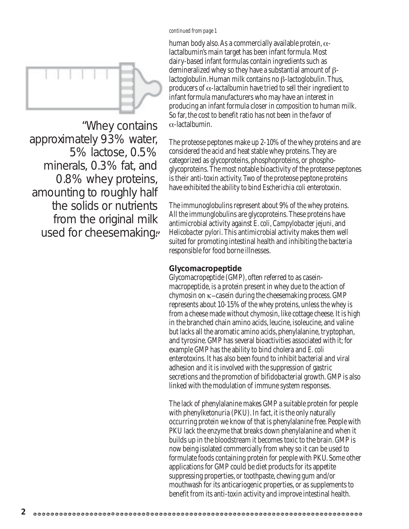#### *continued from page 1*



"Whey contains approximately 93% water, 5% lactose, 0.5% minerals, 0.3% fat, and 0.8% whey proteins, amounting to roughly half the solids or nutrients from the original milk used for cheesemaking, human body also. As a commercially available protein,  $\alpha$ lactalbumin's main target has been infant formula. Most dairy-based infant formulas contain ingredients such as demineralized whey so they have a substantial amount of βlactoglobulin. Human milk contains no β-lactoglobulin. Thus, producers of  $\alpha$ -lactalbumin have tried to sell their ingredient to infant formula manufacturers who may have an interest in producing an infant formula closer in composition to human milk. So far, the cost to benefit ratio has not been in the favor of α-lactalbumin.

The proteose peptones make up 2-10% of the whey proteins and are considered the acid and heat stable whey proteins. They are categorized as glycoproteins, phosphoproteins, or phosphoglycoproteins. The most notable bioactivity of the proteose peptones is their anti-toxin activity. Two of the proteose peptone proteins have exhibited the ability to bind *Escherichia coli* enterotoxin.

The immunoglobulins represent about 9% of the whey proteins. All the immunglobulins are glycoproteins. These proteins have antimicrobial activity against *E. coli*, *Campylobacter jejuni*, and *Helicobacter pylori*. This antimicrobial activity makes them well suited for promoting intestinal health and inhibiting the bacteria responsible for food borne illnesses.

#### **Glycomacropeptide**

Glycomacropeptide (GMP), often referred to as caseinmacropeptide, is a protein present in whey due to the action of chymosin on κ−casein during the cheesemaking process. GMP represents about 10-15% of the whey proteins, unless the whey is from a cheese made without chymosin, like cottage cheese. It is high in the branched chain amino acids, leucine, isoleucine, and valine but lacks all the aromatic amino acids, phenylalanine, tryptophan, and tyrosine. GMP has several bioactivities associated with it; for example GMP has the ability to bind cholera and *E. coli* enterotoxins. It has also been found to inhibit bacterial and viral adhesion and it is involved with the suppression of gastric secretions and the promotion of bifidobacterial growth. GMP is also linked with the modulation of immune system responses.

The lack of phenylalanine makes GMP a suitable protein for people with phenylketonuria (PKU). In fact, it is the only naturally occurring protein we know of that is phenylalanine free. People with PKU lack the enzyme that breaks down phenylalanine and when it builds up in the bloodstream it becomes toxic to the brain. GMP is now being isolated commercially from whey so it can be used to formulate foods containing protein for people with PKU. Some other applications for GMP could be diet products for its appetite suppressing properties, or toothpaste, chewing gum and/or mouthwash for its anticariogenic properties, or as supplements to benefit from its anti-toxin activity and improve intestinal health.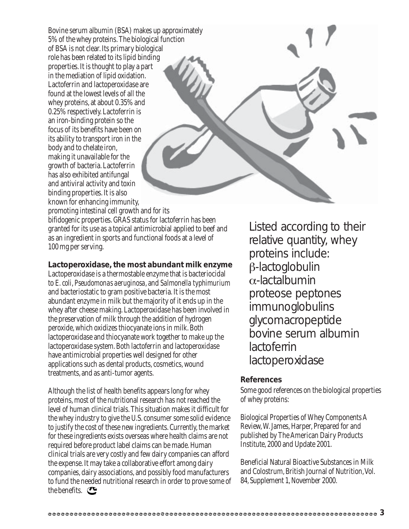Bovine serum albumin (BSA) makes up approximately 5% of the whey proteins. The biological function of BSA is not clear. Its primary biological role has been related to its lipid binding properties. It is thought to play a part in the mediation of lipid oxidation. Lactoferrin and lactoperoxidase are found at the lowest levels of all the whey proteins, at about 0.35% and 0.25% respectively. Lactoferrin is an iron-binding protein so the focus of its benefits have been on its ability to transport iron in the body and to chelate iron, making it unavailable for the growth of bacteria. Lactoferrin has also exhibited antifungal and antiviral activity and toxin binding properties. It is also known for enhancing immunity,

promoting intestinal cell growth and for its bifidogenic properties. GRAS status for lactoferrin has been granted for its use as a topical antimicrobial applied to beef and as an ingredient in sports and functional foods at a level of 100 mg per serving.

 $\omega$ 

#### **Lactoperoxidase, the most abundant milk enzyme**

Lactoperoxidase is a thermostable enzyme that is bacteriocidal to *E. coli*, *Pseudomonas aeruginosa*, and *Salmonella typhimurium* and bacteriostatic to gram positive bacteria. It is the most abundant enzyme in milk but the majority of it ends up in the whey after cheese making. Lactoperoxidase has been involved in the preservation of milk through the addition of hydrogen peroxide, which oxidizes thiocyanate ions in milk. Both lactoperoxidase and thiocyanate work together to make up the lactoperoxidase system. Both lactoferrin and lactoperoxidase have antimicrobial properties well designed for other applications such as dental products, cosmetics, wound treatments, and as anti-tumor agents.

Although the list of health benefits appears long for whey proteins, most of the nutritional research has not reached the level of human clinical trials. This situation makes it difficult for the whey industry to give the U.S. consumer some solid evidence to justify the cost of these new ingredients. Currently, the market for these ingredients exists overseas where health claims are not required before product label claims can be made. Human clinical trials are very costly and few dairy companies can afford the expense. It may take a collaborative effort among dairy companies, dairy associations, and possibly food manufacturers to fund the needed nutritional research in order to prove some of the benefits.  $\bullet$ 

Listed according to their relative quantity, whey proteins include: β-lactoglobulin α-lactalbumin proteose peptones immunoglobulins glycomacropeptide bovine serum albumin lactoferrin lactoperoxidase

#### **References**

Some good references on the biological properties of whey proteins:

Biological Properties of Whey Components A Review, W. James, Harper, Prepared for and published by The American Dairy Products Institute, 2000 and Update 2001.

Beneficial Natural Bioactive Substances in Milk and Colostrum, British Journal of Nutrition, Vol. 84, Supplement 1, November 2000.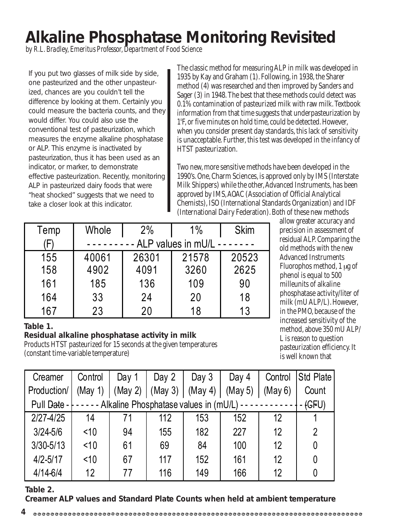## **Alkaline Phosphatase Monitoring Revisited**

*by R.L. Bradley, Emeritus Professor, Department of Food Science*

If you put two glasses of milk side by side, one pasteurized and the other unpasteurized, chances are you couldn't tell the difference by looking at them. Certainly you could measure the bacteria counts, and they would differ. You could also use the conventional test of pasteurization, which measures the enzyme alkaline phosphatase or ALP. This enzyme is inactivated by pasteurization, thus it has been used as an indicator, or marker, to demonstrate effective pasteurization. Recently, monitoring ALP in pasteurized dairy foods that were "heat shocked" suggests that we need to take a closer look at this indicator.

The classic method for measuring ALP in milk was developed in 1935 by Kay and Graham (1). Following, in 1938, the Sharer method (4) was researched and then improved by Sanders and Sager (3) in 1948. The best that these methods could detect was 0.1% contamination of pasteurized milk with raw milk. Textbook information from that time suggests that underpasteurization by 1º F, or five minutes on hold time, could be detected. However, when you consider present day standards, this lack of sensitivity is unacceptable. Further, this test was developed in the infancy of HTST pasteurization.

Two new, more sensitive methods have been developed in the 1990's. One, Charm Sciences, is approved only by IMS (Interstate Milk Shippers) while the other, Advanced Instruments, has been approved by IMS, AOAC (Association of Official Analytical Chemists), ISO (International Standards Organization) and IDF (International Dairy Federation). Both of these new methods

| Temp | Whole              | 2%    | $1\%$ | <b>Skim</b> |  |  |  |
|------|--------------------|-------|-------|-------------|--|--|--|
| Ή,   | ALP values in mU/L |       |       |             |  |  |  |
| 155  | 40061              | 26301 | 21578 | 20523       |  |  |  |
| 158  | 4902               | 4091  | 3260  | 2625        |  |  |  |
| 161  | 185                | 136   | 109   | 90          |  |  |  |
| 164  | 33                 | 24    | 20    | 18          |  |  |  |
| 167  | 23                 | 20    | 18    | 13          |  |  |  |

allow greater accuracy and precision in assessment of residual ALP. Comparing the old methods with the new Advanced Instruments Fluorophos method, 1 µg of phenol is equal to 500 milleunits of alkaline phosphatase activity/liter of milk (mU ALP/L). However, in the PMO, because of the increased sensitivity of the method, above 350 mU ALP/ L is reason to question pasteurization efficiency. It is well known that

#### **Table 1.**

#### **Residual alkaline phosphatase activity in milk**

Products HTST pasteurized for 15 seconds at the given temperatures (constant time-variable temperature)

| Creamer       | Control                                                                           | Day 1   | Day $2$ | Day $3$ | Day $4$ | Control | <b>Std Plate</b> |
|---------------|-----------------------------------------------------------------------------------|---------|---------|---------|---------|---------|------------------|
| Production/   | (May 1)                                                                           | (May 2) | (May 3) | (May 4) | (May 5) | (May 6) | Count            |
|               | ----- Alkaline Phosphatase values in $(mU/L)$ -----------<br>Pull Date - $\vdash$ |         |         |         |         |         | $ (GFU)$         |
| $2/27 - 4/25$ | 14                                                                                |         | 112     | 153     | 152     | 12      |                  |
| $3/24 - 5/6$  | < 10                                                                              | 94      | 155     | 182     | 227     | 12      | 2                |
| $3/30 - 5/13$ | < 10                                                                              | 61      | 69      | 84      | 100     | 12      | 0                |
| $4/2 - 5/17$  | < 10                                                                              | 67      | 117     | 152     | 161     | 12      | 0                |
| $4/14 - 6/4$  | 12                                                                                | 77      | 116     | 149     | 166     | 12      |                  |

**Table 2.**

**Creamer ALP values and Standard Plate Counts when held at ambient temperature**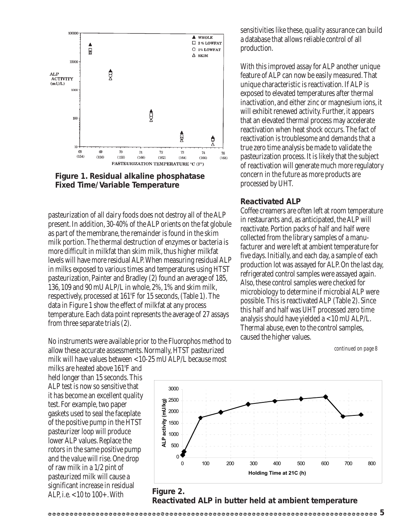



pasteurization of all dairy foods does not destroy all of the ALP present. In addition, 30-40% of the ALP orients on the fat globule as part of the membrane, the remainder is found in the skim milk portion. The thermal destruction of enzymes or bacteria is more difficult in milkfat than skim milk, thus higher milkfat levels will have more residual ALP. When measuring residual ALP in milks exposed to various times and temperatures using HTST pasteurization, Painter and Bradley (2) found an average of 185, 136, 109 and 90 mU ALP/L in whole, 2%, 1% and skim milk, respectively, processed at 161º F for 15 seconds, (Table 1). The data in Figure 1 show the effect of milkfat at any process temperature. Each data point represents the average of 27 assays from three separate trials (2).

No instruments were available prior to the Fluorophos method to allow these accurate assessments. Normally, HTST pasteurized milk will have values between <10-25 mU ALP/L because most

milks are heated above 161º F and held longer than 15 seconds. This ALP test is now so sensitive that it has become an excellent quality test. For example, two paper gaskets used to seal the faceplate of the positive pump in the HTST pasteurizer loop will produce lower ALP values. Replace the rotors in the same positive pump and the value will rise. One drop of raw milk in a 1/2 pint of pasteurized milk will cause a significant increase in residual ALP, i.e. <10 to 100+. With

sensitivities like these, quality assurance can build a database that allows reliable control of all production.

With this improved assay for ALP another unique feature of ALP can now be easily measured. That unique characteristic is reactivation. If ALP is exposed to elevated temperatures after thermal inactivation, and either zinc or magnesium ions, it will exhibit renewed activity. Further, it appears that an elevated thermal process may accelerate reactivation when heat shock occurs. The fact of reactivation is troublesome and demands that a true zero time analysis be made to validate the pasteurization process. It is likely that the subject of reactivation will generate much more regulatory concern in the future as more products are processed by UHT.

#### **Reactivated ALP**

Coffee creamers are often left at room temperature in restaurants and, as anticipated, the ALP will reactivate. Portion packs of half and half were collected from the library samples of a manufacturer and were left at ambient temperature for five days. Initially, and each day, a sample of each production lot was assayed for ALP. On the last day, refrigerated control samples were assayed again. Also, these control samples were checked for microbiology to determine if microbial ALP were possible. This is reactivated ALP (Table 2). Since this half and half was UHT processed zero time analysis should have yielded a <10 mU ALP/L. Thermal abuse, even to the control samples, caused the higher values.

*continued on page 8*



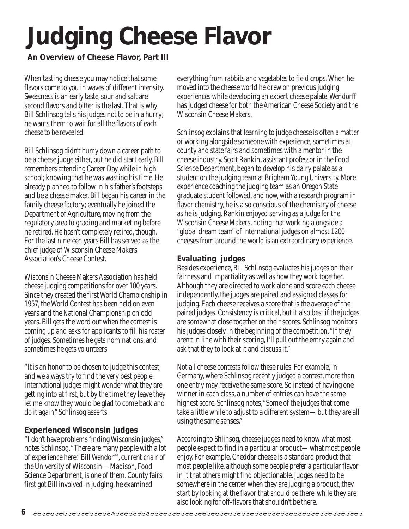# **Judging Cheese Flavor**

#### **An Overview of Cheese Flavor, Part III**

When tasting cheese you may notice that some flavors come to you in waves of different intensity. Sweetness is an early taste, sour and salt are second flavors and bitter is the last. That is why Bill Schlinsog tells his judges not to be in a hurry; he wants them to wait for all the flavors of each cheese to be revealed.

Bill Schlinsog didn't hurry down a career path to be a cheese judge either, but he did start early. Bill remembers attending Career Day while in high school; knowing that he was wasting his time. He already planned to follow in his father's footsteps and be a cheese maker. Bill began his career in the family cheese factory; eventually he joined the Department of Agriculture, moving from the regulatory area to grading and marketing before he retired. He hasn't completely retired, though. For the last nineteen years Bill has served as the chief judge of Wisconsin Cheese Makers Association's Cheese Contest.

Wisconsin Cheese Makers Association has held cheese judging competitions for over 100 years. Since they created the first World Championship in 1957, the World Contest has been held on even years and the National Championship on odd years. Bill gets the word out when the contest is coming up and asks for applicants to fill his roster of judges. Sometimes he gets nominations, and sometimes he gets volunteers.

"It is an honor to be chosen to judge this contest, and we always try to find the very best people. International judges might wonder what they are getting into at first, but by the time they leave they let me know they would be glad to come back and do it again," Schlinsog asserts.

#### **Experienced Wisconsin judges**

"I don't have problems finding Wisconsin judges," notes Schlinsog, "There are many people with a lot of experience here." Bill Wendorff, current chair of the University of Wisconsin—Madison, Food Science Department, is one of them. County fairs first got Bill involved in judging, he examined

everything from rabbits and vegetables to field crops. When he moved into the cheese world he drew on previous judging experiences while developing an expert cheese palate. Wendorff has judged cheese for both the American Cheese Society and the Wisconsin Cheese Makers.

Schlinsog explains that learning to judge cheese is often a matter or working alongside someone with experience, sometimes at county and state fairs and sometimes with a mentor in the cheese industry. Scott Rankin, assistant professor in the Food Science Department, began to develop his dairy palate as a student on the judging team at Brigham Young University. More experience coaching the judging team as an Oregon State graduate student followed, and now, with a research program in flavor chemistry, he is also conscious of the chemistry of cheese as he is judging. Rankin enjoyed serving as a judge for the Wisconsin Cheese Makers, noting that working alongside a "global dream team" of international judges on almost 1200 cheeses from around the world is an extraordinary experience.

#### **Evaluating judges**

Besides experience, Bill Schlinsog evaluates his judges on their fairness and impartiality as well as how they work together. Although they are directed to work alone and score each cheese independently, the judges are paired and assigned classes for judging. Each cheese receives a score that is the average of the paired judges. Consistency is critical, but it also best if the judges are somewhat close together on their scores. Schlinsog monitors his judges closely in the beginning of the competition. "If they aren't in line with their scoring, I'll pull out the entry again and ask that they to look at it and discuss it."

Not all cheese contests follow these rules. For example, in Germany, where Schlinsog recently judged a contest, more than one entry may receive the same score. So instead of having one winner in each class, a number of entries can have the same highest score. Schlinsog notes, "Some of the judges that come take a little while to adjust to a different system—but they are all using the same senses."

According to Shlinsog, cheese judges need to know what most people expect to find in a particular product—what most people enjoy. For example, Cheddar cheese is a standard product that most people like, although some people prefer a particular flavor in it that others might find objectionable. Judges need to be somewhere in the center when they are judging a product, they start by looking at the flavor that should be there, while they are also looking for off-flavors that shouldn't be there.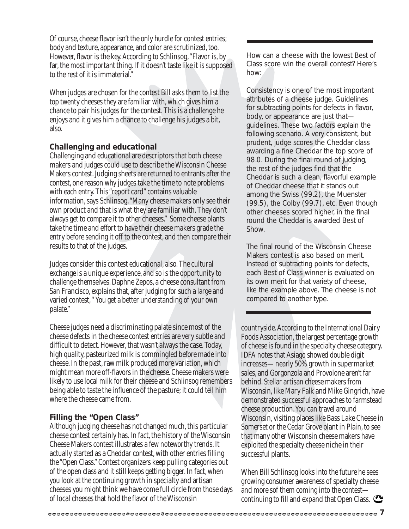Of course, cheese flavor isn't the only hurdle for contest entries; body and texture, appearance, and color are scrutinized, too. However, flavor is the key. According to Schlinsog, "Flavor is, by far, the most important thing. If it doesn't taste like it is supposed to the rest of it is immaterial."

When judges are chosen for the contest Bill asks them to list the top twenty cheeses they are familiar with, which gives him a chance to pair his judges for the contest. This is a challenge he enjoys and it gives him a chance to challenge his judges a bit, also.

#### **Challenging and educational**

Challenging and educational are descriptors that both cheese makers and judges could use to describe the Wisconsin Cheese Makers contest. Judging sheets are returned to entrants after the contest, one reason why judges take the time to note problems with each entry. This "report card" contains valuable information, says Schlinsog. "Many cheese makers only see their own product and that is what they are familiar with. They don't always get to compare it to other cheeses." Some cheese plants take the time and effort to have their cheese makers grade the entry before sending it off to the contest, and then compare their results to that of the judges.

Judges consider this contest educational, also. The cultural exchange is a unique experience, and so is the opportunity to challenge themselves. Daphne Zepos, a cheese consultant from San Francisco, explains that, after judging for such a large and varied contest," You get a better understanding of your own palate."

Cheese judges need a discriminating palate since most of the cheese defects in the cheese contest entries are very subtle and difficult to detect. However, that wasn't always the case. Today, high quality, pasteurized milk is commingled before made into cheese. In the past, raw milk produced more variation, which might mean more off-flavors in the cheese. Cheese makers were likely to use local milk for their cheese and Schlinsog remembers being able to taste the influence of the pasture; it could tell him where the cheese came from.

#### **Filling the "Open Class"**

Although judging cheese has not changed much, this particular cheese contest certainly has. In fact, the history of the Wisconsin Cheese Makers contest illustrates a few noteworthy trends. It actually started as a Cheddar contest, with other entries filling the "Open Class." Contest organizers keep pulling categories out of the open class and it still keeps getting bigger. In fact, when you look at the continuing growth in specialty and artisan cheeses you might think we have come full circle from those days of local cheeses that hold the flavor of the Wisconsin

How can a cheese with the lowest Best of Class score win the overall contest? Here's how:

Consistency is one of the most important attributes of a cheese judge. Guidelines for subtracting points for defects in flavor, body, or appearance are just that guidelines. These two factors explain the following scenario. A very consistent, but prudent, judge scores the Cheddar class awarding a fine Cheddar the top score of 98.0. During the final round of judging, the rest of the judges find that the Cheddar is such a clean, flavorful example of Cheddar cheese that it stands out among the Swiss (99.2), the Muenster (99.5), the Colby (99.7), etc. Even though other cheeses scored higher, in the final round the Cheddar is awarded Best of Show.

The final round of the Wisconsin Cheese Makers contest is also based on merit. Instead of subtracting points for defects, each Best of Class winner is evaluated on its own merit for that variety of cheese, like the example above. The cheese is not compared to another type.

countryside. According to the International Dairy Foods Association, the largest percentage growth of cheese is found in the specialty cheese category. IDFA notes that Asiago showed double digit increases—nearly 50% growth in supermarket sales, and Gorgonzola and Provolone aren't far behind. Stellar artisan cheese makers from Wisconsin, like Mary Falk and Mike Gingrich, have demonstrated successful approaches to farmstead cheese production. You can travel around Wisconsin, visiting places like Bass Lake Cheese in Somerset or the Cedar Grove plant in Plain, to see that many other Wisconsin cheese makers have exploited the specialty cheese niche in their successful plants.

When Bill Schlinsog looks into the future he sees growing consumer awareness of specialty cheese and more sof them coming into the contest continuing to fill and expand that Open Class.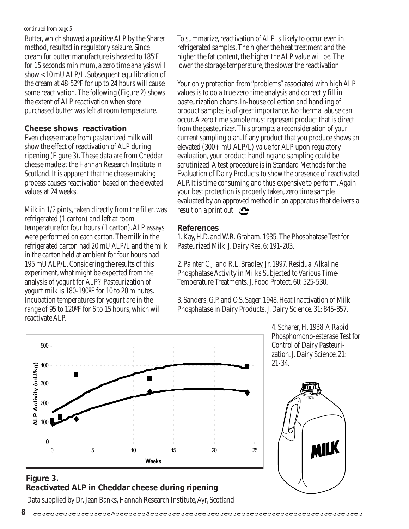#### *continued from page 5*

Butter, which showed a positive ALP by the Sharer method, resulted in regulatory seizure. Since cream for butter manufacture is heated to 185º F for 15 seconds minimum, a zero time analysis will show <10 mU ALP/L. Subsequent equilibration of the cream at 48-52ºF for up to 24 hours will cause some reactivation. The following (Figure 2) shows the extent of ALP reactivation when store purchased butter was left at room temperature.

#### **Cheese shows reactivation**

Even cheese made from pasteurized milk will show the effect of reactivation of ALP during ripening (Figure 3). These data are from Cheddar cheese made at the Hannah Research Institute in Scotland. It is apparent that the cheese making process causes reactivation based on the elevated values at 24 weeks.

Milk in 1/2 pints, taken directly from the filler, was refrigerated (1 carton) and left at room temperature for four hours (1 carton). ALP assays were performed on each carton. The milk in the refrigerated carton had 20 mU ALP/L and the milk in the carton held at ambient for four hours had 195 mU ALP/L. Considering the results of this experiment, what might be expected from the analysis of yogurt for ALP? Pasteurization of yogurt milk is 180-190ºF for 10 to 20 minutes. Incubation temperatures for yogurt are in the range of 95 to 120ºF for 6 to 15 hours, which will reactivate ALP.

To summarize, reactivation of ALP is likely to occur even in refrigerated samples. The higher the heat treatment and the higher the fat content, the higher the ALP value will be. The lower the storage temperature, the slower the reactivation.

Your only protection from "problems" associated with high ALP values is to do a true zero time analysis and correctly fill in pasteurization charts. In-house collection and handling of product samples is of great importance. No thermal abuse can occur. A zero time sample must represent product that is direct from the pasteurizer. This prompts a reconsideration of your current sampling plan. If any product that you produce shows an elevated (300+ mU ALP/L) value for ALP upon regulatory evaluation, your product handling and sampling could be scrutinized. A test procedure is in Standard Methods for the Evaluation of Dairy Products to show the presence of reactivated ALP. It is time consuming and thus expensive to perform. Again your best protection is properly taken, zero time sample evaluated by an approved method in an apparatus that delivers a result on a print out.  $\bullet$ 

#### **References**

1. Kay, H.D. and W.R. Graham. 1935. The Phosphatase Test for Pasteurized Milk. J. Dairy Res. 6: 191-203.

2. Painter C.J. and R.L. Bradley, Jr. 1997. Residual Alkaline Phosphatase Activity in Milks Subjected to Various Time-Temperature Treatments. J. Food Protect. 60: 525-530.

3. Sanders, G.P. and O.S. Sager. 1948. Heat Inactivation of Milk Phosphatase in Dairy Products. J. Dairy Science. 31: 845-857.

> 4. Scharer, H. 1938. A Rapid Phosphomono-esterase Test for Control of Dairy Pasteurization. J. Dairy Science. 21: 21-34.





#### **Figure 3. Reactivated ALP in Cheddar cheese during ripening**

Data supplied by Dr. Jean Banks, Hannah Research Institute, Ayr, Scotland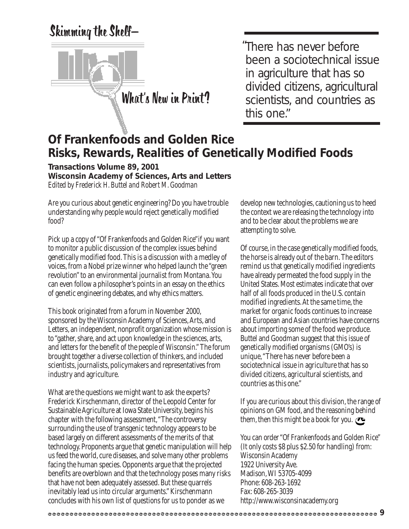Skimming the Shelf—



There has never before "been a sociotechnical issue in agriculture that has so divided citizens, agricultural scientists, and countries as this one."

#### **Of Frankenfoods and Golden Rice Risks, Rewards, Realities of Genetically Modified Foods**

**Transactions Volume 89, 2001 Wisconsin Academy of Sciences, Arts and Letters** *Edited by Frederick H. Buttel and Robert M. Goodman*

Are you curious about genetic engineering? Do you have trouble understanding why people would reject genetically modified food?

Pick up a copy of "Of Frankenfoods and Golden Rice"if you want to monitor a public discussion of the complex issues behind genetically modified food. This is a discussion with a medley of voices, from a Nobel prize winner who helped launch the "green revolution" to an environmental journalist from Montana. You can even follow a philosopher's points in an essay on the ethics of genetic engineering debates, and why ethics matters.

This book originated from a forum in November 2000, sponsored by the Wisconsin Academy of Sciences, Arts, and Letters, an independent, nonprofit organization whose mission is to "gather, share, and act upon knowledge in the sciences, arts, and letters for the benefit of the people of Wisconsin." The forum brought together a diverse collection of thinkers, and included scientists, journalists, policymakers and representatives from industry and agriculture.

What are the questions we might want to ask the experts? Frederick Kirschenmann, director of the Leopold Center for Sustainable Agriculture at Iowa State University, begins his chapter with the following assessment, "The controversy surrounding the use of transgenic technology appears to be based largely on different assessments of the merits of that technology. Proponents argue that genetic manipulation will help us feed the world, cure diseases, and solve many other problems facing the human species. Opponents argue that the projected benefits are overblown and that the technology poses many risks that have not been adequately assessed. But these quarrels inevitably lead us into circular arguments." Kirschenmann concludes with his own list of questions for us to ponder as we

develop new technologies, cautioning us to heed the context we are releasing the technology into and to be clear about the problems we are attempting to solve.

Of course, in the case genetically modified foods, the horse is already out of the barn. The editors remind us that genetically modified ingredients have already permeated the food supply in the United States. Most estimates indicate that over half of all foods produced in the U.S. contain modified ingredients. At the same time, the market for organic foods continues to increase and European and Asian countries have concerns about importing some of the food we produce. Buttel and Goodman suggest that this issue of genetically modified organisms (GMO's) is unique, "There has never before been a sociotechnical issue in agriculture that has so divided citizens, agricultural scientists, and countries as this one."

If you are curious about this division, the range of opinions on GM food, and the reasoning behind them, then this might be a book for you.  $\bullet$ 

You can order "Of Frankenfoods and Golden Rice" (It only costs \$8 plus \$2.50 for handling) from: Wisconsin Academy 1922 University Ave. Madison, WI 53705-4099 Phone: 608-263-1692 Fax: 608-265-3039 http://www.wisconsinacademy.org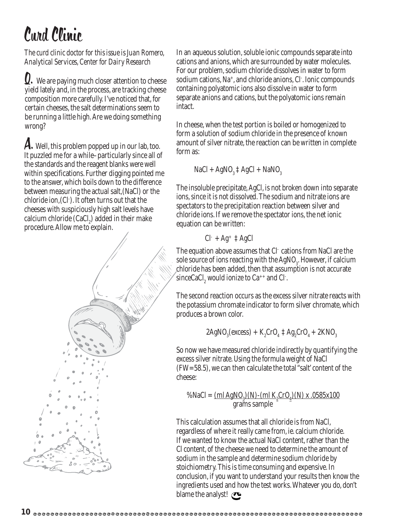## Curd Clinic

#### *The curd clinic doctor for this issue is Juan Romero, Analytical Services, Center for Dairy Research*

**Q.** We are paying much closer attention to cheese yield lately and, in the process, are tracking cheese composition more carefully. I've noticed that, for certain cheeses, the salt determinations seem to be running a little high. Are we doing something wrong?

A. Well, this problem popped up in our lab, too. It puzzled me for a while–particularly since all of the standards and the reagent blanks were well within specifications. Further digging pointed me to the answer, which boils down to the difference between measuring the actual salt,(NaCl) or the chloride ion,(Cl- ). It often turns out that the cheeses with suspiciously high salt levels have calcium chloride  $(CaCl<sub>2</sub>)$  added in their make procedure. Allow me to explain.

In an aqueous solution, soluble ionic compounds separate into cations and anions, which are surrounded by water molecules. For our problem, sodium chloride dissolves in water to form sodium cations, Na+, and chloride anions, Cl- . Ionic compounds containing polyatomic ions also dissolve in water to form separate anions and cations, but the polyatomic ions remain intact.

In cheese, when the test portion is boiled or homogenized to form a solution of sodium chloride in the presence of known amount of silver nitrate, the reaction can be written in complete form as:

$$
NaCl + AgNO3 \ddagger AgCl + NaNO3
$$

The insoluble precipitate, AgCl, is not broken down into separate ions, since it is not dissolved. The sodium and nitrate ions are spectators to the precipitation reaction between silver and chloride ions. If we remove the spectator ions, the net ionic equation can be written:

$$
Cl^- + Ag^+ \ddagger AgCl
$$

The equation above assumes that Cl- cations from NaCl are the sole source of ions reacting with the  $\text{AgNO}_3$ . However, if calcium chloride has been added, then that assumption is not accurate  $\text{since} \text{CaCl}_2$  would ionize to  $\text{Ca}^{++}$  and  $\text{Cl}$ .

The second reaction occurs as the excess silver nitrate reacts with the potassium chromate indicator to form silver chromate, which produces a brown color.

$$
2\mathrm{AgNO}_3(\mathrm{excess}) + \mathrm{K}_2\mathrm{CrO}_4 \ddagger \mathrm{Ag}_2\mathrm{CrO}_4 + 2\mathrm{KNO}_3
$$

So now we have measured chloride indirectly by quantifying the excess silver nitrate. Using the formula weight of NaCl (FW=58.5), we can then calculate the total "salt' content of the cheese:

%NaCl =  $\underline{(mlAgNO_3)(N) - (ml K_2CrO_4)(N) x .0585x100}$ grams sample

This calculation assumes that all chloride is from NaCl, regardless of where it really came from, ie. calcium chloride. If we wanted to know the actual NaCl content, rather than the Cl content, of the cheese we need to determine the amount of sodium in the sample and determine sodium chloride by stoichiometry. This is time consuming and expensive. In conclusion, if you want to understand your results then know the ingredients used and how the test works. Whatever you do, don't blame the analyst!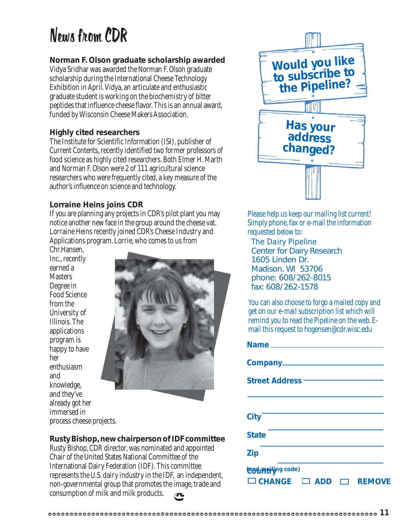## News from CDR

#### **Norman F. Olson graduate scholarship awarded**

Vidya Sridhar was awarded the Norman F. Olson graduate scholarship during the International Cheese Technology Exhibition in April. Vidya, an articulate and enthusiastic graduate student is working on the biochemistry of bitter peptides that influence cheese flavor. This is an annual award, funded by Wisconsin Cheese Makers Association.

#### **Highly cited researchers**

The Institute for Scientific Information (ISI), publisher of Current Contents, recently identified two former professors of food science as highly cited researchers. Both Elmer H. Marth and Norman F. Olson were 2 of 111 agricultural science researchers who were frequently cited, a key measure of the author's influence on science and technology.

#### **Lorraine Heins joins CDR**

If you are planning any projects in CDR's pilot plant you may notice another new face in the group around the cheese vat. Lorraine Heins recently joined CDR's Cheese Industry and Applications program. Lorrie, who comes to us from

Chr.Hansen, Inc., recently earned a **Masters** Degree in Food Science from the University of Illinois. The applications program is happy to have her enthusiasm and knowledge, and they've already got her immersed in process cheese projects.



#### **Rusty Bishop, new chairperson of IDF committee**

Rusty Bishop, CDR director, was nominated and appointed Chair of the United States National Committee of the International Dairy Federation (IDF). This committee represents the U.S. dairy industry in the IDF, an independent, non-governmental group that promotes the image, trade and consumption of milk and milk products.



Please help us keep our mailing list current! Simply phone, fax or e-mail the information requested below to:

*The Dairy Pipeline* Center for Dairy Research 1605 Linden Dr. Madison, WI 53706 phone: 608/262-8015 fax: 608/262-1578

You can also choose to forgo a mailed copy and get on our e-mail subscription list which will remind you to read the Pipeline on the web. Email this request to hogensen@cdr.wisc.edu

| Company________                           |
|-------------------------------------------|
| <b>Street Address –––</b>                 |
|                                           |
| <b>City</b>                               |
| <b>State</b>                              |
| <b>Zip</b>                                |
| <b>Codmation</b> code)                    |
| $\Box$ CHANGE $\Box$ ADD<br><b>REMOVE</b> |